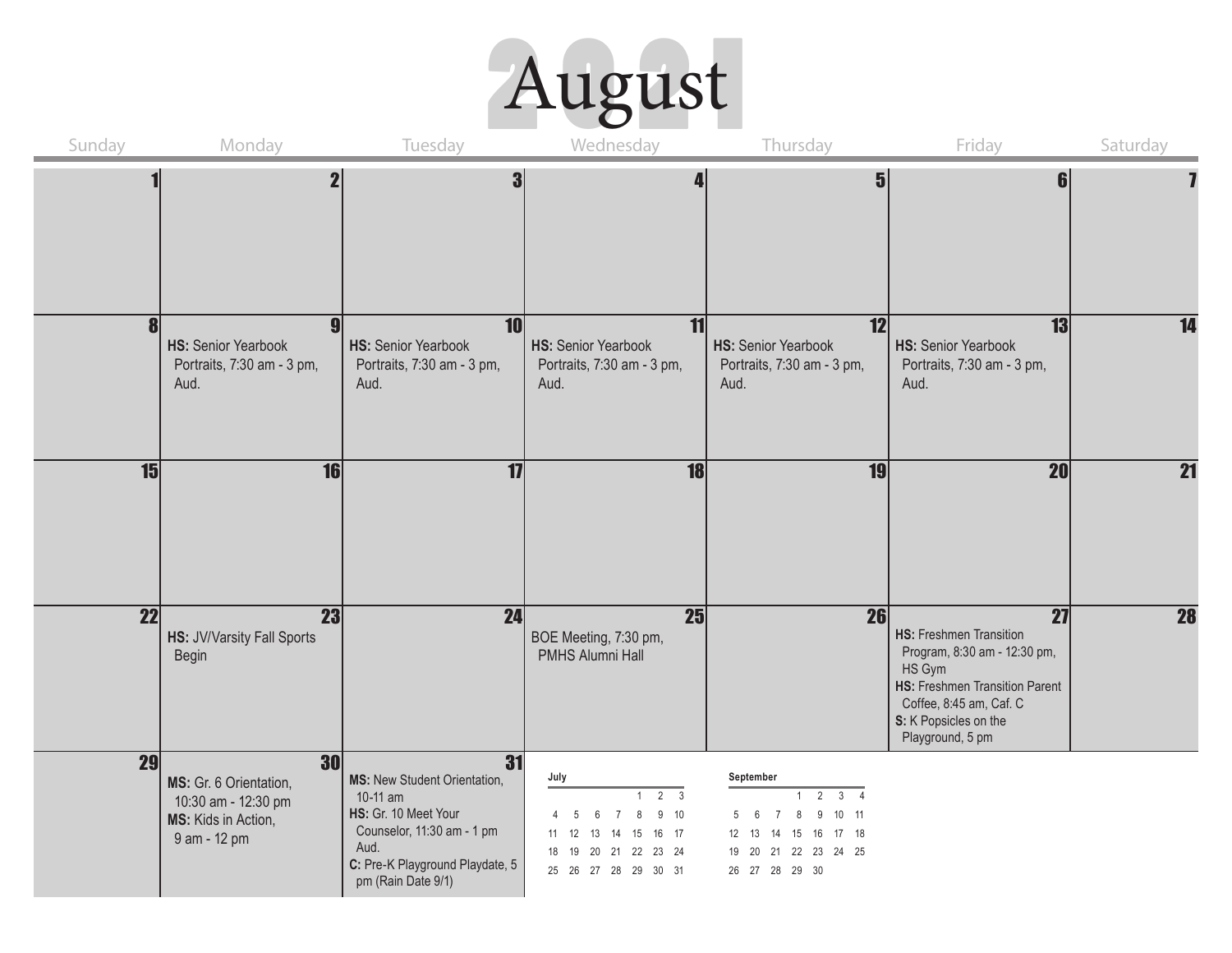

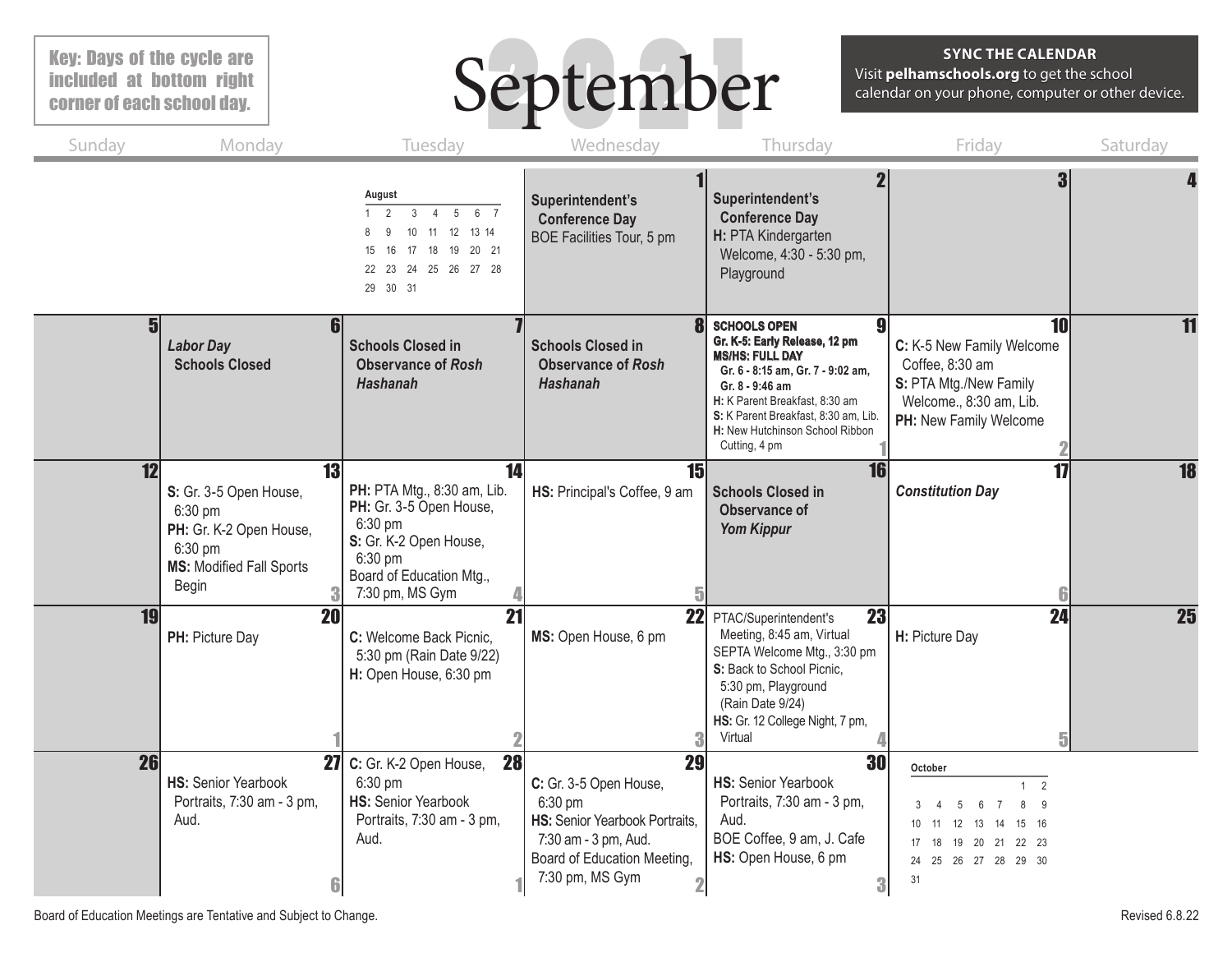# Key: Days of the cycle are included at bottom right corner of each school day.

# September

## **SYNC THE CALENDAR**

Visit **pelhamschools.org** to get the school calendar on your phone, computer or other device.

| Sunday | Monday                                                                                                                    | Tuesday                                                                                                                                                              | Wednesday                                                                                                                                                             | Thursday                                                                                                                                                                                                                                                             | Friday                                                                                                                                                         | Saturday  |
|--------|---------------------------------------------------------------------------------------------------------------------------|----------------------------------------------------------------------------------------------------------------------------------------------------------------------|-----------------------------------------------------------------------------------------------------------------------------------------------------------------------|----------------------------------------------------------------------------------------------------------------------------------------------------------------------------------------------------------------------------------------------------------------------|----------------------------------------------------------------------------------------------------------------------------------------------------------------|-----------|
|        |                                                                                                                           | August<br>$\mathfrak{p}$<br>$\mathbf{3}$<br>5 6 7<br>$\overline{4}$<br>11 12 13 14<br>10<br>18<br>19 20 21<br>15<br>17<br>24  25  26  27  28<br>22<br>23<br>29 30 31 | Superintendent's<br><b>Conference Day</b><br>BOE Facilities Tour, 5 pm                                                                                                | $\overline{2}$<br>Superintendent's<br><b>Conference Day</b><br>H: PTA Kindergarten<br>Welcome, 4:30 - 5:30 pm,<br>Playground                                                                                                                                         | 3                                                                                                                                                              |           |
| 5      | 61<br><b>Labor Day</b><br><b>Schools Closed</b>                                                                           | <b>Schools Closed in</b><br><b>Observance of Rosh</b><br><b>Hashanah</b>                                                                                             | 8<br><b>Schools Closed in</b><br><b>Observance of Rosh</b><br><b>Hashanah</b>                                                                                         | <b>SCHOOLS OPEN</b><br>Gr. K-5: Early Release, 12 pm<br><b>MS/HS: FULL DAY</b><br>Gr. 6 - 8:15 am, Gr. 7 - 9:02 am,<br>Gr. 8 - 9:46 am<br>H: K Parent Breakfast, 8:30 am<br>S: K Parent Breakfast, 8:30 am, Lib.<br>H: New Hutchinson School Ribbon<br>Cutting, 4 pm | 10<br>C: K-5 New Family Welcome<br>Coffee, 8:30 am<br>S: PTA Mtg./New Family<br>Welcome., 8:30 am, Lib.<br>PH: New Family Welcome                              | 11        |
| 12     | 13<br>S: Gr. 3-5 Open House,<br>6:30 pm<br>PH: Gr. K-2 Open House,<br>6:30 pm<br><b>MS: Modified Fall Sports</b><br>Begin | 14<br>PH: PTA Mtg., 8:30 am, Lib.<br>PH: Gr. 3-5 Open House,<br>6:30 pm<br>S: Gr. K-2 Open House,<br>6:30 pm<br>Board of Education Mtg.,<br>7:30 pm, MS Gym          | 15<br>HS: Principal's Coffee, 9 am                                                                                                                                    | <b>16</b><br><b>Schools Closed in</b><br><b>Observance of</b><br><b>Yom Kippur</b>                                                                                                                                                                                   | 17<br><b>Constitution Day</b>                                                                                                                                  | 18        |
| 19     | <b>20</b><br>PH: Picture Day                                                                                              | $\overline{21}$<br>C: Welcome Back Picnic,<br>5:30 pm (Rain Date 9/22)<br>H: Open House, 6:30 pm                                                                     | 22<br>MS: Open House, 6 pm                                                                                                                                            | 23<br>PTAC/Superintendent's<br>Meeting, 8:45 am, Virtual<br>SEPTA Welcome Mtg., 3:30 pm<br>S: Back to School Picnic,<br>5:30 pm, Playground<br>(Rain Date 9/24)<br>HS: Gr. 12 College Night, 7 pm,<br>Virtual                                                        | 24<br>H: Picture Day<br>5                                                                                                                                      | <b>25</b> |
| 26     | <b>HS: Senior Yearbook</b><br>Portraits, 7:30 am - 3 pm,<br>Aud.                                                          | <b>28</b><br>27 C: Gr. K-2 Open House,<br>6:30 pm<br><b>HS: Senior Yearbook</b><br>Portraits, 7:30 am - 3 pm,<br>Aud.                                                | 29<br>C: Gr. 3-5 Open House,<br>6:30 pm<br>HS: Senior Yearbook Portraits.<br>7:30 am - 3 pm, Aud.<br>Board of Education Meeting,<br>7:30 pm, MS Gym<br>$\overline{2}$ | 30<br><b>HS: Senior Yearbook</b><br>Portraits, 7:30 am - 3 pm,<br>Aud.<br>BOE Coffee, 9 am, J. Cafe<br>HS: Open House, 6 pm<br>3                                                                                                                                     | October<br>2<br>$\mathbf{1}$<br>8<br>-9<br>15 16<br>10 <sup>°</sup><br>12<br>13<br>14<br>-11<br>19 20 21 22 23<br>17<br>18<br>24  25  26  27  28  29  30<br>31 |           |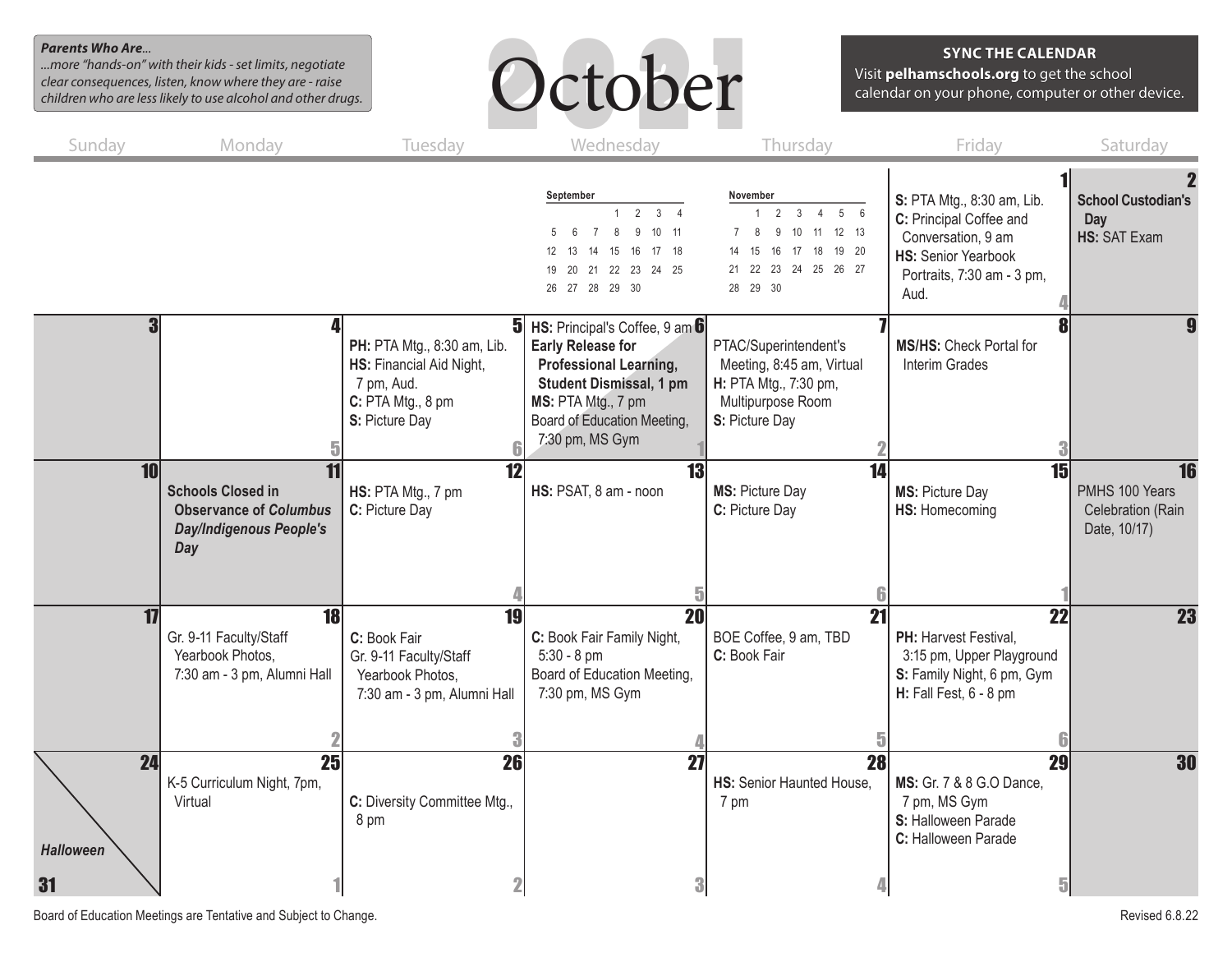#### *Parents Who Are...*

*...more "hands-on" with their kids - set limits, negotiate clear consequences, listen, know where they are - raise children who are less likely to use alcohol and other drugs.*



#### **SYNC THE CALENDAR**

Visit **pelhamschools.org** to get the school calendar on your phone, computer or other device.

| Sunday                       | Monday                                                                                             | Tuesday                                                                                                      | Wednesday                                                                                                                                                                                            | Thursday                                                                                                                                              | Friday                                                                                                                                          | Saturday                                                  |
|------------------------------|----------------------------------------------------------------------------------------------------|--------------------------------------------------------------------------------------------------------------|------------------------------------------------------------------------------------------------------------------------------------------------------------------------------------------------------|-------------------------------------------------------------------------------------------------------------------------------------------------------|-------------------------------------------------------------------------------------------------------------------------------------------------|-----------------------------------------------------------|
|                              |                                                                                                    |                                                                                                              | September<br>2<br>3<br>9<br>10 <sup>°</sup><br>11<br>. 6<br>12<br>15<br>16<br>17<br>- 18<br>-13<br>-14<br>19 20 21 22 23 24 25<br>26 27 28 29 30                                                     | November<br>$2 \quad 3$<br>$5\qquad6$<br>$\overline{4}$<br>9 10 11 12 13<br>8<br>16 17 18 19 20<br>15<br>14<br>21  22  23  24  25  26  27<br>28 29 30 | S: PTA Mtg., 8:30 am, Lib.<br>C: Principal Coffee and<br>Conversation, 9 am<br><b>HS: Senior Yearbook</b><br>Portraits, 7:30 am - 3 pm,<br>Aud. | <b>School Custodian's</b><br>Day<br><b>HS: SAT Exam</b>   |
|                              |                                                                                                    | PH: PTA Mtg., 8:30 am, Lib.<br>HS: Financial Aid Night,<br>7 pm, Aud.<br>C: PTA Mtg., 8 pm<br>S: Picture Day | $5$ HS: Principal's Coffee, 9 am $6$<br><b>Early Release for</b><br>Professional Learning,<br><b>Student Dismissal, 1 pm</b><br>MS: PTA Mtg., 7 pm<br>Board of Education Meeting,<br>7:30 pm, MS Gym | PTAC/Superintendent's<br>Meeting, 8:45 am, Virtual<br>H: PTA Mtg., 7:30 pm,<br>Multipurpose Room<br>S: Picture Day                                    | <b>MS/HS: Check Portal for</b><br>Interim Grades                                                                                                |                                                           |
| 10                           | <b>Schools Closed in</b><br><b>Observance of Columbus</b><br><b>Day/Indigenous People's</b><br>Day | $\overline{12}$<br>HS: PTA Mtg., 7 pm<br>C: Picture Day                                                      | 13<br>HS: PSAT, 8 am - noon                                                                                                                                                                          | $\overline{14}$<br>MS: Picture Day<br>C: Picture Day                                                                                                  | 15<br>MS: Picture Day<br>HS: Homecoming                                                                                                         | 16<br>PMHS 100 Years<br>Celebration (Rain<br>Date, 10/17) |
| 17                           | 18<br>Gr. 9-11 Faculty/Staff<br>Yearbook Photos,<br>7:30 am - 3 pm, Alumni Hall                    | 19<br>C: Book Fair<br>Gr. 9-11 Faculty/Staff<br>Yearbook Photos,<br>7:30 am - 3 pm, Alumni Hall              | 20<br>C: Book Fair Family Night,<br>$5:30 - 8$ pm<br>Board of Education Meeting,<br>7:30 pm, MS Gym                                                                                                  | $\overline{21}$<br>BOE Coffee, 9 am, TBD<br>C: Book Fair                                                                                              | $\overline{22}$<br>PH: Harvest Festival.<br>3:15 pm, Upper Playground<br>S: Family Night, 6 pm, Gym<br>H: Fall Fest, 6 - 8 pm                   | <b>23</b>                                                 |
| 24<br><b>Halloween</b><br>31 | $\overline{25}$<br>K-5 Curriculum Night, 7pm,<br>Virtual                                           | 26<br>C: Diversity Committee Mtg.,<br>8 pm                                                                   | $\overline{27}$<br>3                                                                                                                                                                                 | $\overline{28}$<br>HS: Senior Haunted House.<br>7 pm                                                                                                  | 29<br>MS: Gr. 7 & 8 G.O Dance,<br>7 pm, MS Gym<br>S: Halloween Parade<br>C: Halloween Parade<br>$\overline{\mathbf{5}}$                         | 30                                                        |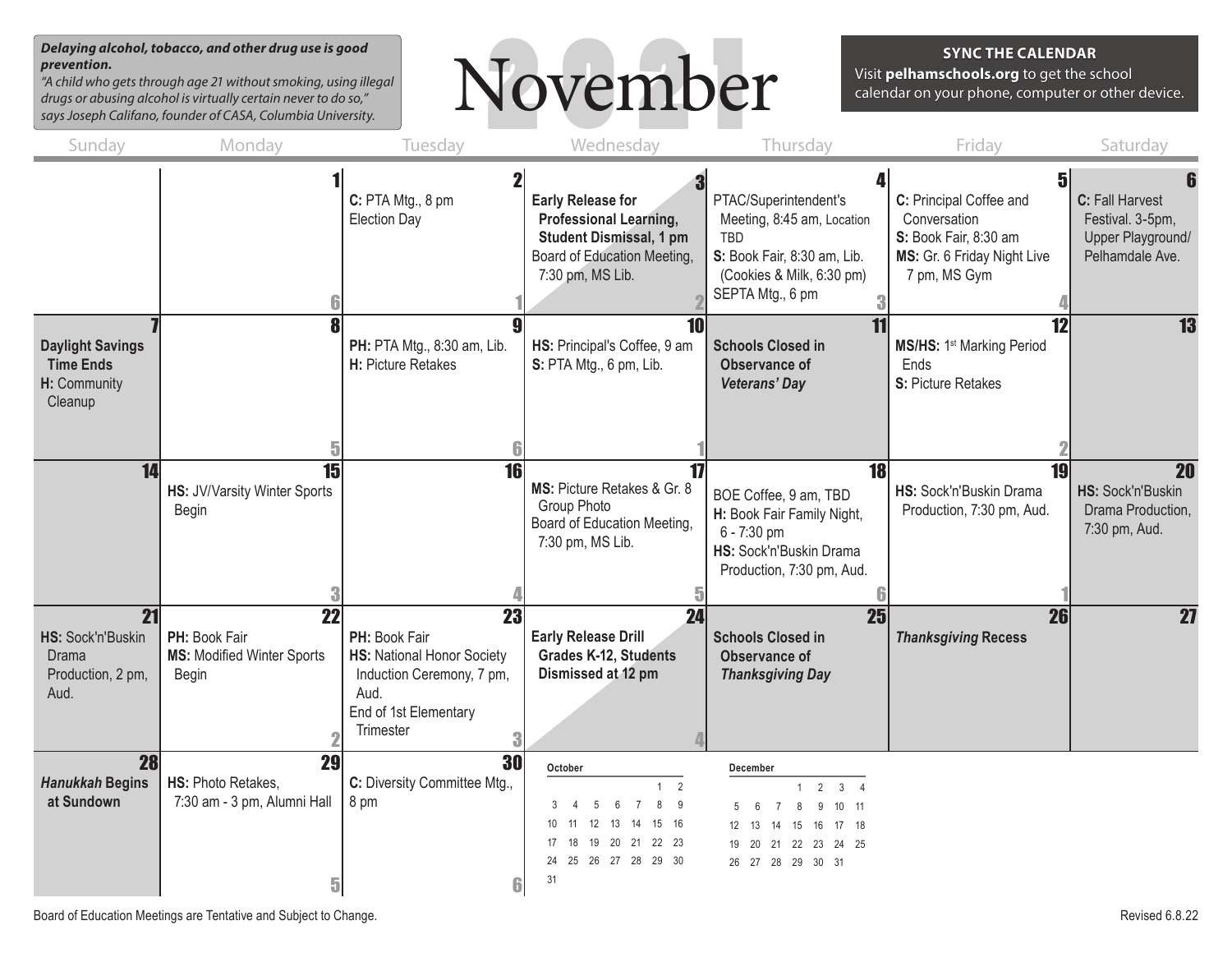*Delaying alcohol, tobacco, and other drug use is good prevention.*

*"A child who gets through age 21 without smoking, using illegal drugs or abusing alcohol is virtually certain never to do so," says Joseph Califano, founder of CASA, Columbia University.*



**SYNC THE CALENDAR**

Visit **pelhamschools.org** to get the school calendar on your phone, computer or other device.

| Sunday                                                                 | Monday                                                                         | Tuesday                                                                                                                      | Wednesday                                                                                                                                                                                               | Thursday                                                                                                                                                                             | Friday                                                                                                                | Saturday                                                                    |
|------------------------------------------------------------------------|--------------------------------------------------------------------------------|------------------------------------------------------------------------------------------------------------------------------|---------------------------------------------------------------------------------------------------------------------------------------------------------------------------------------------------------|--------------------------------------------------------------------------------------------------------------------------------------------------------------------------------------|-----------------------------------------------------------------------------------------------------------------------|-----------------------------------------------------------------------------|
|                                                                        |                                                                                | C: PTA Mtg., 8 pm<br><b>Election Day</b>                                                                                     | <b>Early Release for</b><br>Professional Learning,<br><b>Student Dismissal, 1 pm</b><br>Board of Education Meeting,<br>7:30 pm, MS Lib.                                                                 | PTAC/Superintendent's<br>Meeting, 8:45 am, Location<br>TBD<br>S: Book Fair, 8:30 am, Lib.<br>(Cookies & Milk, 6:30 pm)<br>SEPTA Mtg., 6 pm                                           | 51<br>C: Principal Coffee and<br>Conversation<br>S: Book Fair, 8:30 am<br>MS: Gr. 6 Friday Night Live<br>7 pm, MS Gym | C: Fall Harvest<br>Festival. 3-5pm,<br>Upper Playground/<br>Pelhamdale Ave. |
| <b>Daylight Savings</b><br><b>Time Ends</b><br>H: Community<br>Cleanup |                                                                                | PH: PTA Mtg., 8:30 am, Lib.<br>H: Picture Retakes                                                                            | 10<br>HS: Principal's Coffee, 9 am<br>S: PTA Mtg., 6 pm, Lib.                                                                                                                                           | 11<br><b>Schools Closed in</b><br>Observance of<br><b>Veterans' Day</b>                                                                                                              | 12<br><b>MS/HS: 1st Marking Period</b><br>Ends<br>S: Picture Retakes                                                  | 13                                                                          |
| 14                                                                     | HS: JV/Varsity Winter Sports<br><b>Begin</b>                                   | 16                                                                                                                           | 17<br>MS: Picture Retakes & Gr. 8<br>Group Photo<br>Board of Education Meeting,<br>7:30 pm, MS Lib.                                                                                                     | 18<br>BOE Coffee, 9 am, TBD<br>H: Book Fair Family Night,<br>6 - 7:30 pm<br>HS: Sock'n'Buskin Drama<br>Production, 7:30 pm, Aud.                                                     | HS: Sock'n'Buskin Drama<br>Production, 7:30 pm, Aud.                                                                  | $\overline{20}$<br>HS: Sock'n'Buskin<br>Drama Production,<br>7:30 pm, Aud.  |
| 21<br>HS: Sock'n'Buskin<br><b>Drama</b><br>Production, 2 pm,<br>Aud.   | $\overline{22}$<br>PH: Book Fair<br><b>MS: Modified Winter Sports</b><br>Begin | 23<br>PH: Book Fair<br>HS: National Honor Society<br>Induction Ceremony, 7 pm,<br>Aud.<br>End of 1st Elementary<br>Trimester | $\overline{24}$<br><b>Early Release Drill</b><br><b>Grades K-12, Students</b><br>Dismissed at 12 pm                                                                                                     | 25<br><b>Schools Closed in</b><br><b>Observance of</b><br><b>Thanksgiving Day</b>                                                                                                    | 26<br><b>Thanksgiving Recess</b>                                                                                      | $\overline{27}$                                                             |
| 28<br><b>Hanukkah Begins</b><br>at Sundown                             | 29<br>HS: Photo Retakes,<br>7:30 am - 3 pm, Alumni Hall<br>5                   | $\overline{30}$<br>C: Diversity Committee Mtg.,<br>8 pm                                                                      | October<br>2<br>$\mathbf{1}$<br>8<br>$6 \overline{6}$<br>$\overline{7}$<br>- 9<br>3<br>5<br>15 16<br>10 <sup>1</sup><br>12 13<br>14<br>18  19  20  21  22  23<br>17<br>24  25  26  27  28  29  30<br>31 | December<br>3 <sup>3</sup><br>$\overline{2}$<br>$\overline{4}$<br>$\mathbf{1}$<br>10 11<br>5<br>8<br>9<br>15  16  17  18<br>12 13<br>14<br>19 20 21 22 23 24 25<br>26 27 28 29 30 31 |                                                                                                                       |                                                                             |

Board of Education Meetings are Tentative and Subject to Change. The Change of Change and Subject to Change.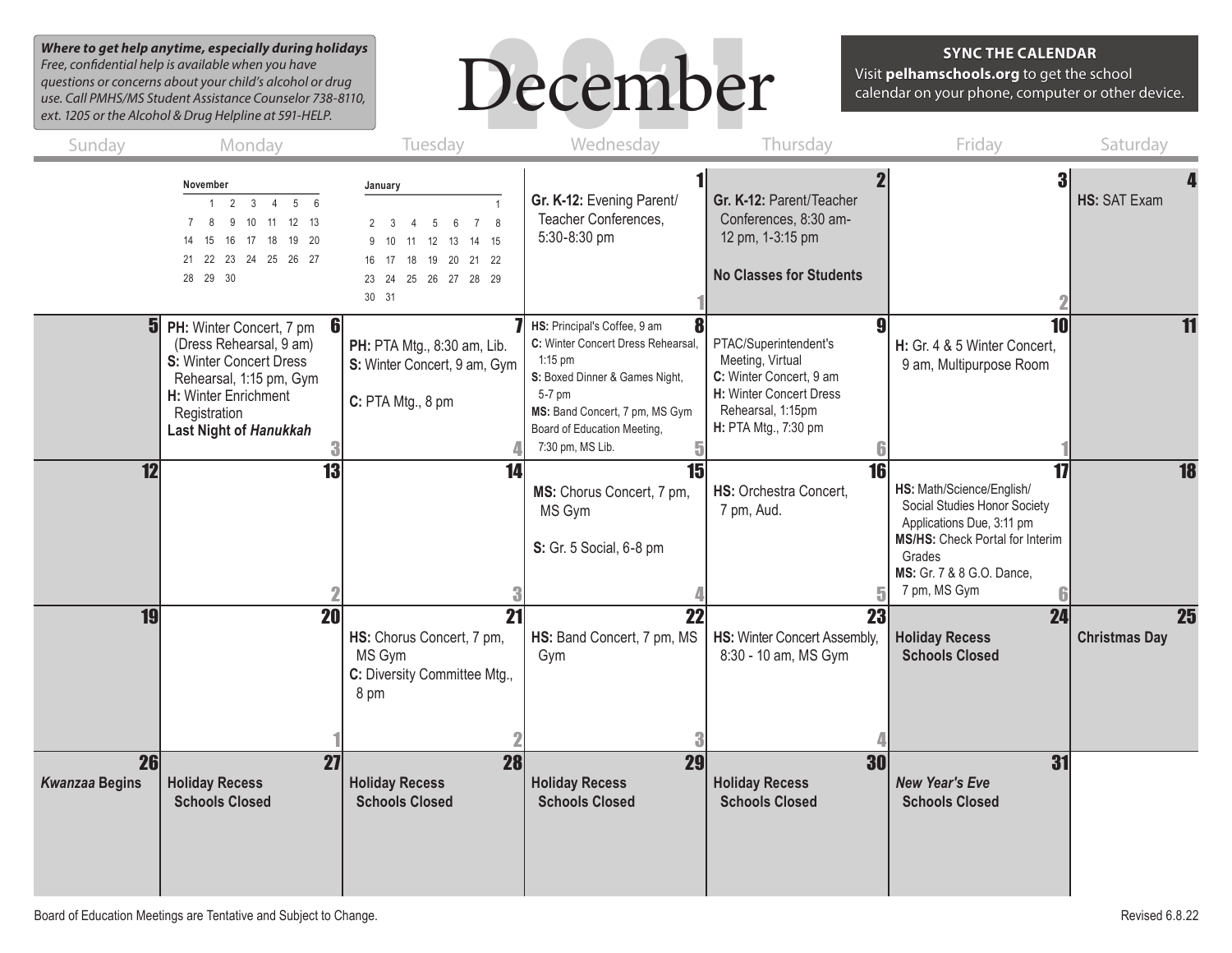*Where to get help anytime, especially during holidays Free, confidential help is available when you have questions or concerns about your child's alcohol or drug use. Call PMHS/MS Student Assistance Counselor 738-8110, ext. 1205 or the Alcohol & Drug Helpline at 591-HELP.*



#### **SYNC THE CALENDAR**

Visit **pelhamschools.org** to get the school calendar on your phone, computer or other device.

| Sunday                      | Monday                                                                                                                                                                                    | Tuesday                                                                                                                                                | Wednesday                                                                                                                                                                                                        | Thursday                                                                                                                                     | Friday                                                                                                                                                                                 | Saturday                                |
|-----------------------------|-------------------------------------------------------------------------------------------------------------------------------------------------------------------------------------------|--------------------------------------------------------------------------------------------------------------------------------------------------------|------------------------------------------------------------------------------------------------------------------------------------------------------------------------------------------------------------------|----------------------------------------------------------------------------------------------------------------------------------------------|----------------------------------------------------------------------------------------------------------------------------------------------------------------------------------------|-----------------------------------------|
|                             | November<br>$1 \quad 2 \quad 3 \quad 4$<br>56<br>12 13<br>8<br>9<br>10<br>11<br>18<br>19 20<br>15<br>16<br>17<br>14<br>21  22  23  24  25  26  27<br>28 29 30                             | January<br>7 8<br>6<br>$\mathbf{3}$<br>$\overline{5}$<br>12<br>13<br>14 15<br>10<br>11<br>18  19  20  21  22<br>16 17<br>23 24 25 26 27 28 29<br>30 31 | Gr. K-12: Evening Parent/<br>Teacher Conferences,<br>5:30-8:30 pm                                                                                                                                                | Gr. K-12: Parent/Teacher<br>Conferences, 8:30 am-<br>12 pm, 1-3:15 pm<br><b>No Classes for Students</b>                                      |                                                                                                                                                                                        | <b>HS: SAT Exam</b>                     |
|                             | <b>5</b> PH: Winter Concert, 7 pm<br>6<br>(Dress Rehearsal, 9 am)<br>S: Winter Concert Dress<br>Rehearsal, 1:15 pm, Gym<br>H: Winter Enrichment<br>Registration<br>Last Night of Hanukkah | PH: PTA Mtg., 8:30 am, Lib.<br>S: Winter Concert, 9 am, Gym<br>C: PTA Mtg., 8 pm                                                                       | HS: Principal's Coffee, 9 am<br>C: Winter Concert Dress Rehearsal,<br>$1:15$ pm<br>S: Boxed Dinner & Games Night,<br>5-7 pm<br>MS: Band Concert, 7 pm, MS Gym<br>Board of Education Meeting,<br>7:30 pm, MS Lib. | PTAC/Superintendent's<br>Meeting, Virtual<br>C: Winter Concert, 9 am<br>H: Winter Concert Dress<br>Rehearsal, 1:15pm<br>H: PTA Mtg., 7:30 pm | 10<br>H: Gr. 4 & 5 Winter Concert,<br>9 am, Multipurpose Room                                                                                                                          | 11                                      |
| $\overline{12}$             | $\overline{13}$                                                                                                                                                                           | 14                                                                                                                                                     | $\overline{15}$<br>MS: Chorus Concert, 7 pm,<br>MS Gym<br>S: Gr. 5 Social, 6-8 pm                                                                                                                                | $\overline{16}$<br>HS: Orchestra Concert.<br>7 pm, Aud.                                                                                      | 17<br>HS: Math/Science/English/<br>Social Studies Honor Society<br>Applications Due, 3:11 pm<br>MS/HS: Check Portal for Interim<br>Grades<br>MS: Gr. 7 & 8 G.O. Dance,<br>7 pm, MS Gym | $\overline{18}$                         |
| <b>19</b>                   | $\overline{20}$                                                                                                                                                                           | $\overline{21}$<br>HS: Chorus Concert, 7 pm,<br>MS Gym<br>C: Diversity Committee Mtg.,<br>8 pm                                                         | $\overline{22}$<br>HS: Band Concert, 7 pm, MS<br>Gym                                                                                                                                                             | 23<br>HS: Winter Concert Assembly,<br>8:30 - 10 am, MS Gym                                                                                   | 24<br><b>Holiday Recess</b><br><b>Schools Closed</b>                                                                                                                                   | $\overline{25}$<br><b>Christmas Day</b> |
| 26<br><b>Kwanzaa Begins</b> | $\overline{27}$<br><b>Holiday Recess</b><br><b>Schools Closed</b>                                                                                                                         | <b>28</b><br><b>Holiday Recess</b><br><b>Schools Closed</b>                                                                                            | $\overline{29}$<br><b>Holiday Recess</b><br><b>Schools Closed</b>                                                                                                                                                | <b>30</b><br><b>Holiday Recess</b><br><b>Schools Closed</b>                                                                                  | 31<br><b>New Year's Eve</b><br><b>Schools Closed</b>                                                                                                                                   |                                         |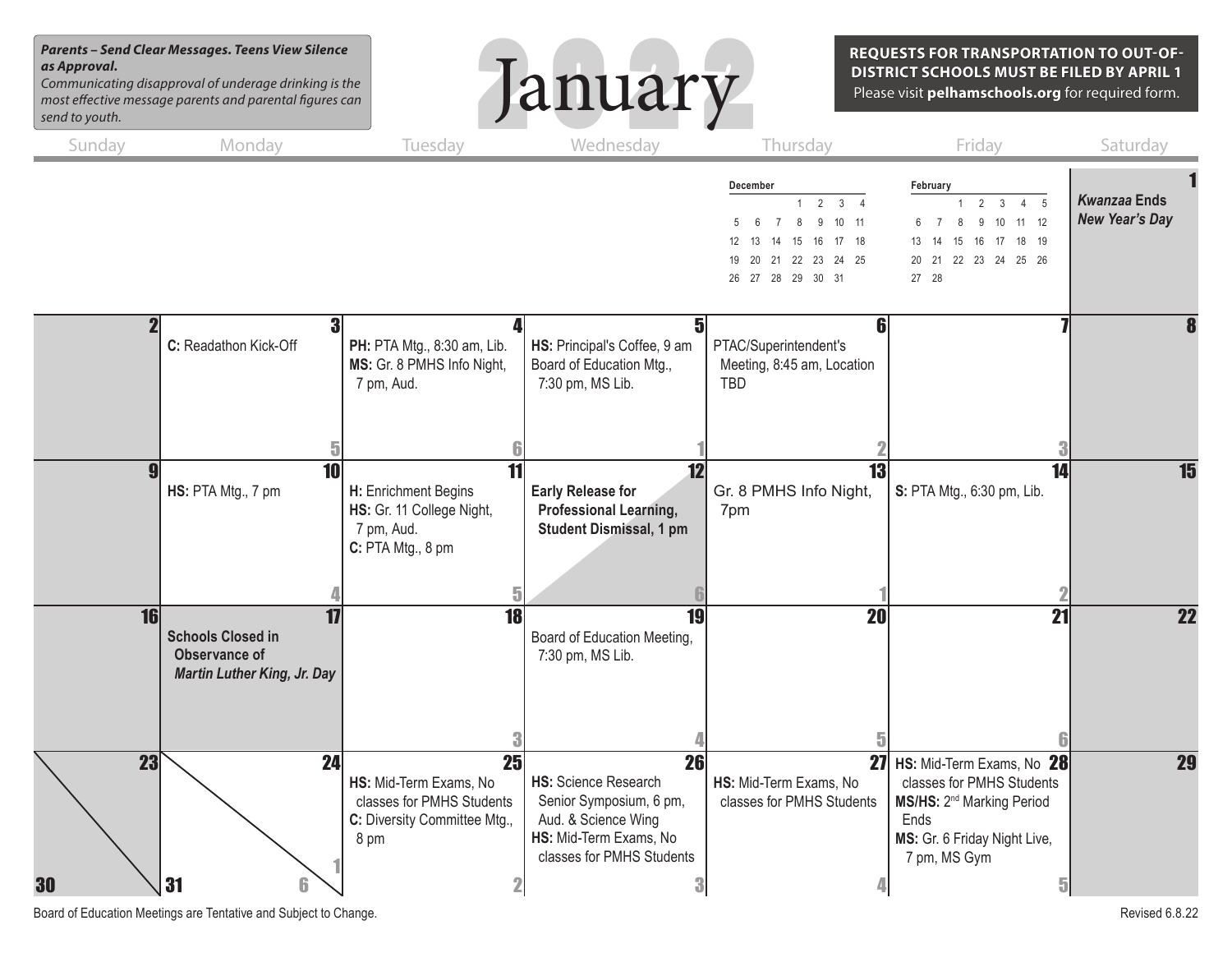#### *Parents – Send Clear Messages. Teens View Silence as Approval.*

*Communicating disapproval of underage drinking is the most effective message parents and parental figures can send to youth.*



**REQUESTS FOR TRANSPORTATION TO OUT-OF-DISTRICT SCHOOLS MUST BE FILED BY APRIL 1** Please visit **pelhamschools.org** for required form.

| Sunday   | Monday                                                                                       | Tuesday                                                                                                        | Wednesday                                                                                                                                       | Thursday                                                                                                                                                  | Friday                                                                                                                                                                       | Saturday                                     |
|----------|----------------------------------------------------------------------------------------------|----------------------------------------------------------------------------------------------------------------|-------------------------------------------------------------------------------------------------------------------------------------------------|-----------------------------------------------------------------------------------------------------------------------------------------------------------|------------------------------------------------------------------------------------------------------------------------------------------------------------------------------|----------------------------------------------|
|          |                                                                                              |                                                                                                                |                                                                                                                                                 | December<br>$\mathbf{3}$<br>2<br>10 11<br>$\overline{7}$<br>8<br>$\kappa$<br>9<br>16<br>17 18<br>14 15<br>13<br>19 20 21 22 23 24 25<br>26 27 28 29 30 31 | February<br>$\mathfrak{p}$<br>3<br>$\overline{5}$<br>10 11 12<br>6<br>$\overline{7}$<br>$\mathbf{8}$<br>9<br>16 17 18 19<br>15<br>13<br>14<br>20 21 22 23 24 25 26<br>27 28  | <b>Kwanzaa Ends</b><br><b>New Year's Day</b> |
|          | 3<br>C: Readathon Kick-Off                                                                   | PH: PTA Mtg., 8:30 am, Lib.<br>MS: Gr. 8 PMHS Info Night,<br>7 pm, Aud.                                        | $\overline{\mathbf{5}}$<br>HS: Principal's Coffee, 9 am<br>Board of Education Mtg.,<br>7:30 pm, MS Lib.                                         | 6<br>PTAC/Superintendent's<br>Meeting, 8:45 am, Location<br><b>TBD</b>                                                                                    |                                                                                                                                                                              |                                              |
|          | HS: PTA Mtg., 7 pm                                                                           | H: Enrichment Begins<br>HS: Gr. 11 College Night,<br>7 pm, Aud.<br>C: PTA Mtg., 8 pm                           | $\overline{12}$<br><b>Early Release for</b><br>Professional Learning,<br><b>Student Dismissal, 1 pm</b>                                         | 13<br>Gr. 8 PMHS Info Night,<br>7pm                                                                                                                       | $\overline{14}$<br>S: PTA Mtg., 6:30 pm, Lib.                                                                                                                                | 15                                           |
| 16       | 17<br><b>Schools Closed in</b><br><b>Observance of</b><br><b>Martin Luther King, Jr. Day</b> | 18                                                                                                             | $\overline{19}$<br>Board of Education Meeting,<br>7:30 pm, MS Lib.                                                                              | 20                                                                                                                                                        | 21                                                                                                                                                                           | 22                                           |
| 23<br>30 | 24<br>31                                                                                     | $\overline{25}$<br>HS: Mid-Term Exams, No<br>classes for PMHS Students<br>C: Diversity Committee Mtg.,<br>8 pm | 26<br><b>HS: Science Research</b><br>Senior Symposium, 6 pm,<br>Aud. & Science Wing<br>HS: Mid-Term Exams, No<br>classes for PMHS Students<br>3 | HS: Mid-Term Exams, No<br>classes for PMHS Students                                                                                                       | 27 HS: Mid-Term Exams, No 28<br>classes for PMHS Students<br>MS/HS: 2 <sup>nd</sup> Marking Period<br>Ends<br>MS: Gr. 6 Friday Night Live,<br>7 pm, MS Gym<br>$\overline{5}$ | 29                                           |

Board of Education Meetings are Tentative and Subject to Change. The Subset of Change and Subject to Change.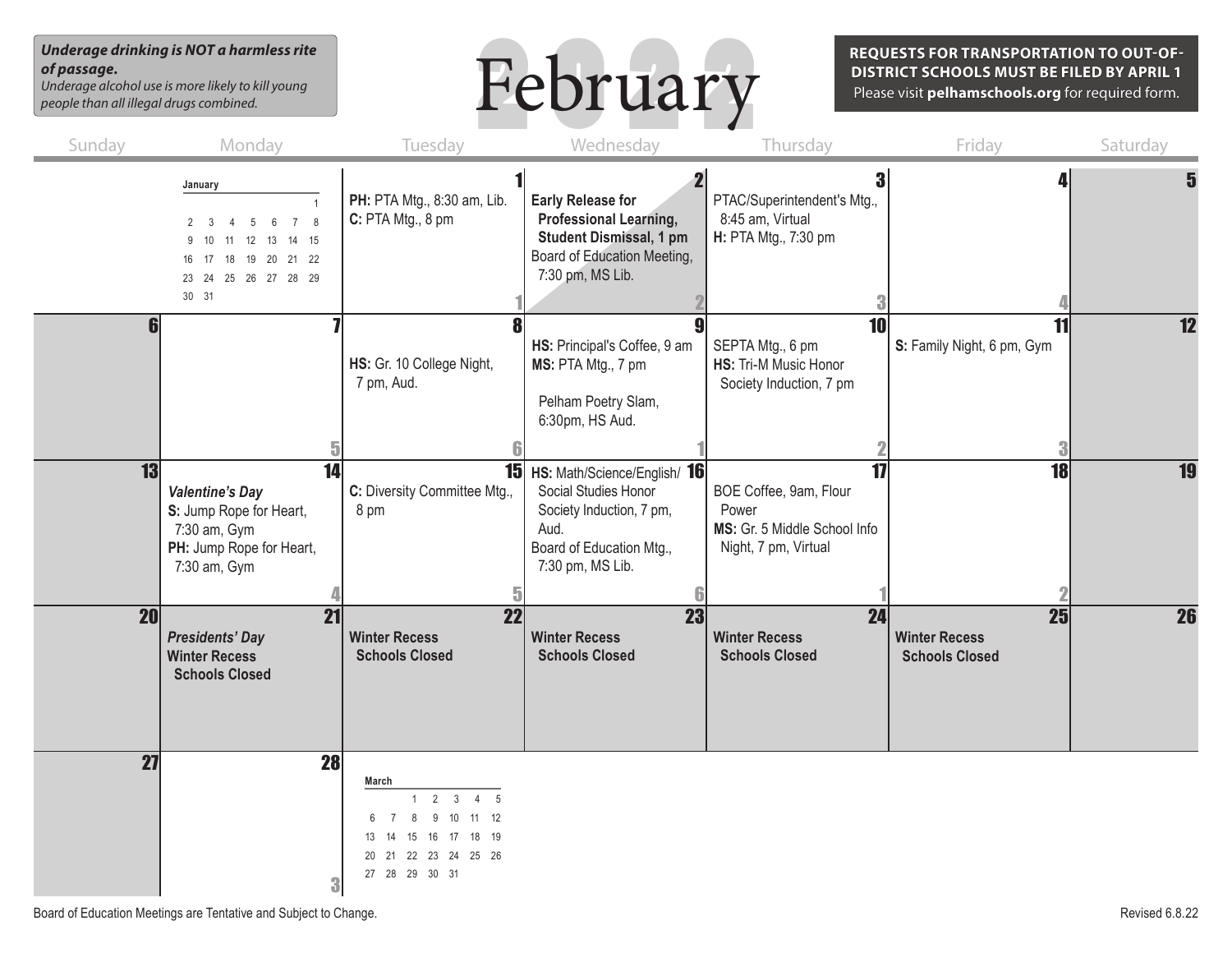#### *Underage drinking is NOT a harmless rite of passage. Underage alcohol use is more likely to kill young*

*people than all illegal drugs combined.*



**REQUESTS FOR TRANSPORTATION TO OUT-OF-DISTRICT SCHOOLS MUST BE FILED BY APRIL 1** Please visit **pelhamschools.org** for required form.

| Sunday          | Monday                                                                                                                                                | Tuesday                                                                                                                                          | Wednesday                                                                                                                                      | Thursday                                                                                      | Friday                                              | Saturday        |
|-----------------|-------------------------------------------------------------------------------------------------------------------------------------------------------|--------------------------------------------------------------------------------------------------------------------------------------------------|------------------------------------------------------------------------------------------------------------------------------------------------|-----------------------------------------------------------------------------------------------|-----------------------------------------------------|-----------------|
|                 | January<br>$\overline{7}$<br>8<br>$\kappa$<br>$\overline{2}$<br>13 14 15<br>9 10<br>12<br>11<br>16 17 18 19 20 21 22<br>23 24 25 26 27 28 29<br>30 31 | PH: PTA Mtg., 8:30 am, Lib.<br>C: PTA Mtg., 8 pm                                                                                                 | <b>Early Release for</b><br><b>Professional Learning,</b><br><b>Student Dismissal, 1 pm</b><br>Board of Education Meeting,<br>7:30 pm, MS Lib. | 3<br>PTAC/Superintendent's Mtg.,<br>8:45 am, Virtual<br>H: PTA Mtg., 7:30 pm<br>3             |                                                     | 5               |
| 6               |                                                                                                                                                       | HS: Gr. 10 College Night,<br>7 pm, Aud.                                                                                                          | HS: Principal's Coffee, 9 am<br>MS: PTA Mtg., 7 pm<br>Pelham Poetry Slam,<br>6:30pm, HS Aud.                                                   | 10<br>SEPTA Mtg., 6 pm<br>HS: Tri-M Music Honor<br>Society Induction, 7 pm                    | 11<br>S: Family Night, 6 pm, Gym                    | $\overline{12}$ |
| $\overline{13}$ | 14<br><b>Valentine's Day</b><br>S: Jump Rope for Heart,<br>7:30 am, Gym<br>PH: Jump Rope for Heart,<br>7:30 am, Gym                                   | C: Diversity Committee Mtg.,<br>8 pm                                                                                                             | 15 HS: Math/Science/English/ 16<br>Social Studies Honor<br>Society Induction, 7 pm,<br>Aud.<br>Board of Education Mtg.,<br>7:30 pm, MS Lib.    | 17<br>BOE Coffee, 9am, Flour<br>Power<br>MS: Gr. 5 Middle School Info<br>Night, 7 pm, Virtual | $\overline{18}$                                     | $\overline{19}$ |
| <b>20</b>       | 21<br><b>Presidents' Day</b><br><b>Winter Recess</b><br><b>Schools Closed</b>                                                                         | 22<br><b>Winter Recess</b><br><b>Schools Closed</b>                                                                                              | $\overline{23}$<br><b>Winter Recess</b><br><b>Schools Closed</b>                                                                               | 24<br><b>Winter Recess</b><br><b>Schools Closed</b>                                           | 25<br><b>Winter Recess</b><br><b>Schools Closed</b> | $\overline{26}$ |
| 27              | 28 <sup>l</sup><br>3                                                                                                                                  | March<br>$2 \quad 3$<br>$4\quad 5$<br>11 12<br>9<br>10<br>8<br>18 19<br>17<br>16<br>13<br>15<br>22 23 24 25 26<br>20<br>21<br>27  28  29  30  31 |                                                                                                                                                |                                                                                               |                                                     |                 |

Board of Education Meetings are Tentative and Subject to Change. The Subset of Change and Subject to Change.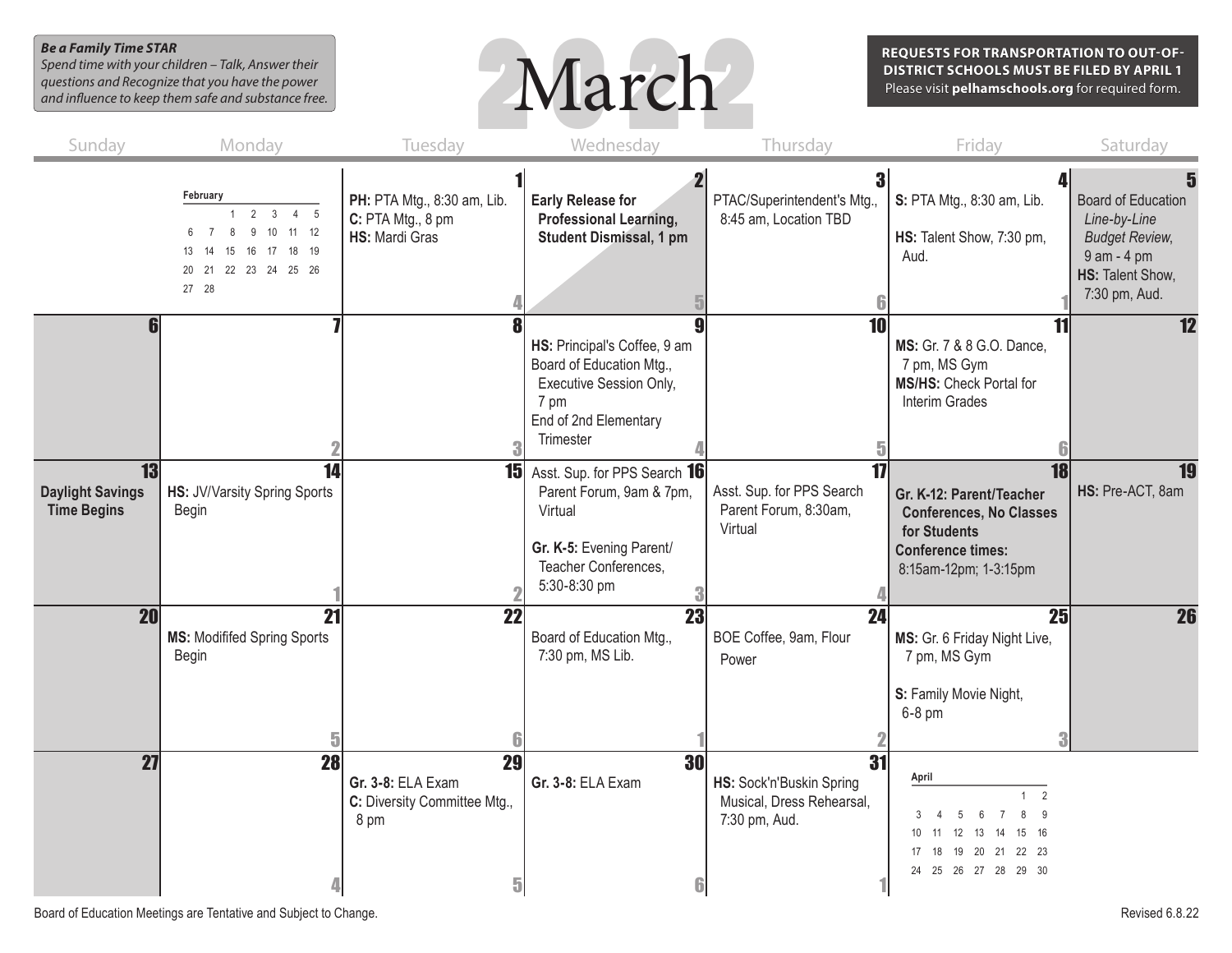## *Be a Family Time STAR*

*Spend time with your children – Talk, Answer their questions and Recognize that you have the power and influence to keep them safe and substance free.*



**REQUESTS FOR TRANSPORTATION TO OUT-OF-DISTRICT SCHOOLS MUST BE FILED BY APRIL 1** Please visit **pelhamschools.org** for required form.

| Sunday                                              | Monday                                                                                                                                                              | Tuesday                                                              | Wednesday                                                                                                                               | Thursday                                                                         | Friday                                                                                                                                                      | Saturday                                                                                                                    |
|-----------------------------------------------------|---------------------------------------------------------------------------------------------------------------------------------------------------------------------|----------------------------------------------------------------------|-----------------------------------------------------------------------------------------------------------------------------------------|----------------------------------------------------------------------------------|-------------------------------------------------------------------------------------------------------------------------------------------------------------|-----------------------------------------------------------------------------------------------------------------------------|
|                                                     | February<br>3 <sup>3</sup><br>2<br>$4\quad 5$<br>$\mathbf{1}$<br>10 11 12<br>$\overline{7}$<br>8<br>9<br>6<br>13 14 15 16 17 18 19<br>20 21 22 23 24 25 26<br>27 28 | PH: PTA Mtg., 8:30 am, Lib.<br>C: PTA Mtg., 8 pm<br>HS: Mardi Gras   | <b>Early Release for</b><br>Professional Learning,<br><b>Student Dismissal, 1 pm</b>                                                    | 3 <sup>1</sup><br>PTAC/Superintendent's Mtg.,<br>8:45 am, Location TBD           | S: PTA Mtg., 8:30 am, Lib.<br>HS: Talent Show, 7:30 pm,<br>Aud.                                                                                             | 5<br><b>Board of Education</b><br>Line-by-Line<br><b>Budget Review,</b><br>9 am - 4 pm<br>HS: Talent Show,<br>7:30 pm, Aud. |
| <b>fil</b>                                          |                                                                                                                                                                     |                                                                      | g<br>HS: Principal's Coffee, 9 am<br>Board of Education Mtg.,<br>Executive Session Only,<br>7 pm<br>End of 2nd Elementary<br>Trimester  | $\overline{10}$                                                                  | 11<br>MS: Gr. 7 & 8 G.O. Dance,<br>7 pm, MS Gym<br>MS/HS: Check Portal for<br>Interim Grades                                                                | 12                                                                                                                          |
| 13<br><b>Daylight Savings</b><br><b>Time Begins</b> | 14<br>HS: JV/Varsity Spring Sports<br>Begin                                                                                                                         | 15 <sup>1</sup>                                                      | Asst. Sup. for PPS Search 16<br>Parent Forum, 9am & 7pm,<br>Virtual<br>Gr. K-5: Evening Parent/<br>Teacher Conferences,<br>5:30-8:30 pm | $\overline{17}$<br>Asst. Sup. for PPS Search<br>Parent Forum, 8:30am,<br>Virtual | 18<br>Gr. K-12: Parent/Teacher<br><b>Conferences, No Classes</b><br>for Students<br><b>Conference times:</b><br>8:15am-12pm; 1-3:15pm                       | 19<br>HS: Pre-ACT, 8am                                                                                                      |
| <b>20</b>                                           | 21<br><b>MS: Modififed Spring Sports</b><br>Begin                                                                                                                   | $\overline{22}$                                                      | $\overline{23}$<br>Board of Education Mtg.,<br>7:30 pm, MS Lib.                                                                         | $\overline{24}$<br>BOE Coffee, 9am, Flour<br>Power                               | 25<br>MS: Gr. 6 Friday Night Live,<br>7 pm, MS Gym<br>S: Family Movie Night,<br>$6-8$ pm                                                                    | $\overline{26}$                                                                                                             |
| $\overline{27}$                                     | 28                                                                                                                                                                  | 29<br>Gr. 3-8: ELA Exam<br>C: Diversity Committee Mtg.,<br>8 pm<br>5 | 30<br>Gr. 3-8: ELA Exam<br>6                                                                                                            | 31<br>HS: Sock'n'Buskin Spring<br>Musical, Dress Rehearsal,<br>7:30 pm, Aud.     | April<br>$\overline{2}$<br>8<br>9<br>$\overline{7}$<br>5<br>6<br>12  13  14  15  16<br>10<br>11<br>17  18  19  20  21  22  23<br>24  25  26  27  28  29  30 |                                                                                                                             |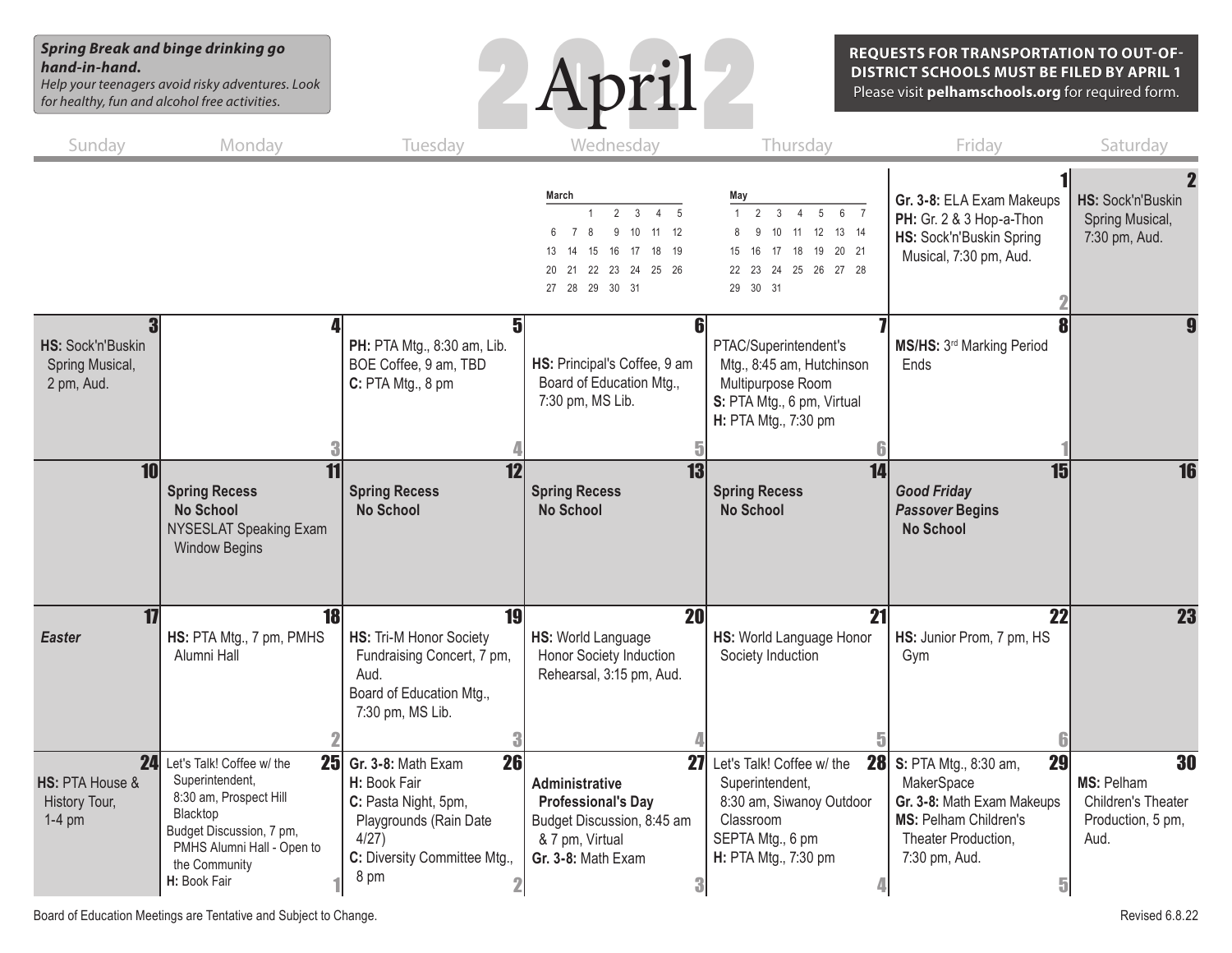*Spring Break and binge drinking go hand-in-hand.*

*Help your teenagers avoid risky adventures. Look for healthy, fun and alcohol free activities.*



**REQUESTS FOR TRANSPORTATION TO OUT-OF-DISTRICT SCHOOLS MUST BE FILED BY APRIL 1**

Please visit **pelhamschools.org** for required form.

| Sunday                                             | Monday                                                                                                                                                                                              | Tuesday                                                                                                                                          | Wednesday                                                                                                                                                                                           | Thursday                                                                                                                                       | Friday                                                                                                                                                         | Saturday                                                                   |
|----------------------------------------------------|-----------------------------------------------------------------------------------------------------------------------------------------------------------------------------------------------------|--------------------------------------------------------------------------------------------------------------------------------------------------|-----------------------------------------------------------------------------------------------------------------------------------------------------------------------------------------------------|------------------------------------------------------------------------------------------------------------------------------------------------|----------------------------------------------------------------------------------------------------------------------------------------------------------------|----------------------------------------------------------------------------|
|                                                    |                                                                                                                                                                                                     |                                                                                                                                                  | March<br>$2 \quad 3$<br>$\mathbf{1}$<br>$\overline{4}$<br>- 5<br>11<br>12<br>$\overline{7}$<br>8<br>9<br>10<br>15<br>16<br>17<br>18<br>19<br>13<br>14<br>20 21 22 23 24 25 26<br>27  28  29  30  31 | May<br>4 5 6 7<br>1<br>2<br>$\overline{\mathbf{3}}$<br>11  12  13  14<br>10<br>17  18  19  20  21<br>15 16<br>22 23 24 25 26 27 28<br>29 30 31 | Gr. 3-8: ELA Exam Makeups<br>PH: Gr. 2 & 3 Hop-a-Thon<br>HS: Sock'n'Buskin Spring<br>Musical, 7:30 pm, Aud.                                                    | HS: Sock'n'Buskin<br>Spring Musical,<br>7:30 pm, Aud.                      |
| HS: Sock'n'Buskin<br>Spring Musical,<br>2 pm, Aud. |                                                                                                                                                                                                     | 5<br>PH: PTA Mtg., 8:30 am, Lib.<br>BOE Coffee, 9 am, TBD<br>C: PTA Mtg., 8 pm                                                                   | HS: Principal's Coffee, 9 am<br>Board of Education Mtg.,<br>7:30 pm, MS Lib.                                                                                                                        | PTAC/Superintendent's<br>Mtg., 8:45 am, Hutchinson<br>Multipurpose Room<br>S: PTA Mtg., 6 pm, Virtual<br>H: PTA Mtg., 7:30 pm                  | MS/HS: 3rd Marking Period<br>Ends                                                                                                                              |                                                                            |
| 10                                                 | 11<br><b>Spring Recess</b><br><b>No School</b><br>NYSESLAT Speaking Exam<br><b>Window Begins</b>                                                                                                    | 12<br><b>Spring Recess</b><br><b>No School</b>                                                                                                   | $\overline{13}$<br><b>Spring Recess</b><br><b>No School</b>                                                                                                                                         | 14<br><b>Spring Recess</b><br><b>No School</b>                                                                                                 | 15<br><b>Good Friday</b><br><b>Passover Begins</b><br><b>No School</b>                                                                                         | 16                                                                         |
| 17<br><b>Easter</b>                                | 18<br>HS: PTA Mtg., 7 pm, PMHS<br>Alumni Hall                                                                                                                                                       | 19<br>HS: Tri-M Honor Society<br>Fundraising Concert, 7 pm,<br>Aud.<br>Board of Education Mtg.,<br>7:30 pm, MS Lib.                              | <b>20</b><br>HS: World Language<br>Honor Society Induction<br>Rehearsal, 3:15 pm, Aud.                                                                                                              | 21<br>HS: World Language Honor<br>Society Induction                                                                                            | 22<br>HS: Junior Prom, 7 pm, HS<br>Gym                                                                                                                         | $\overline{23}$                                                            |
| HS: PTA House &<br>History Tour,<br>$1-4$ pm       | 24 Let's Talk! Coffee w/ the<br>25 <sub>l</sub><br>Superintendent,<br>8:30 am, Prospect Hill<br>Blacktop<br>Budget Discussion, 7 pm,<br>PMHS Alumni Hall - Open to<br>the Community<br>H: Book Fair | 26<br>Gr. 3-8: Math Exam<br>H: Book Fair<br>C: Pasta Night, 5pm,<br>Playgrounds (Rain Date<br>4/27)<br>C: Diversity Committee Mtg.,<br>8 pm<br>2 | 27<br>Administrative<br><b>Professional's Day</b><br>Budget Discussion, 8:45 am<br>& 7 pm, Virtual<br>Gr. 3-8: Math Exam<br>3                                                                       | Let's Talk! Coffee w/ the<br>Superintendent,<br>8:30 am, Siwanoy Outdoor<br>Classroom<br>SEPTA Mtg., 6 pm<br>H: PTA Mtg., 7:30 pm              | 29<br><b>28</b> S: PTA Mtg., 8:30 am,<br>MakerSpace<br>Gr. 3-8: Math Exam Makeups<br><b>MS: Pelham Children's</b><br>Theater Production,<br>7:30 pm, Aud.<br>5 | 30<br>MS: Pelham<br><b>Children's Theater</b><br>Production, 5 pm,<br>Aud. |

Board of Education Meetings are Tentative and Subject to Change. The Change of Change and Subject to Change.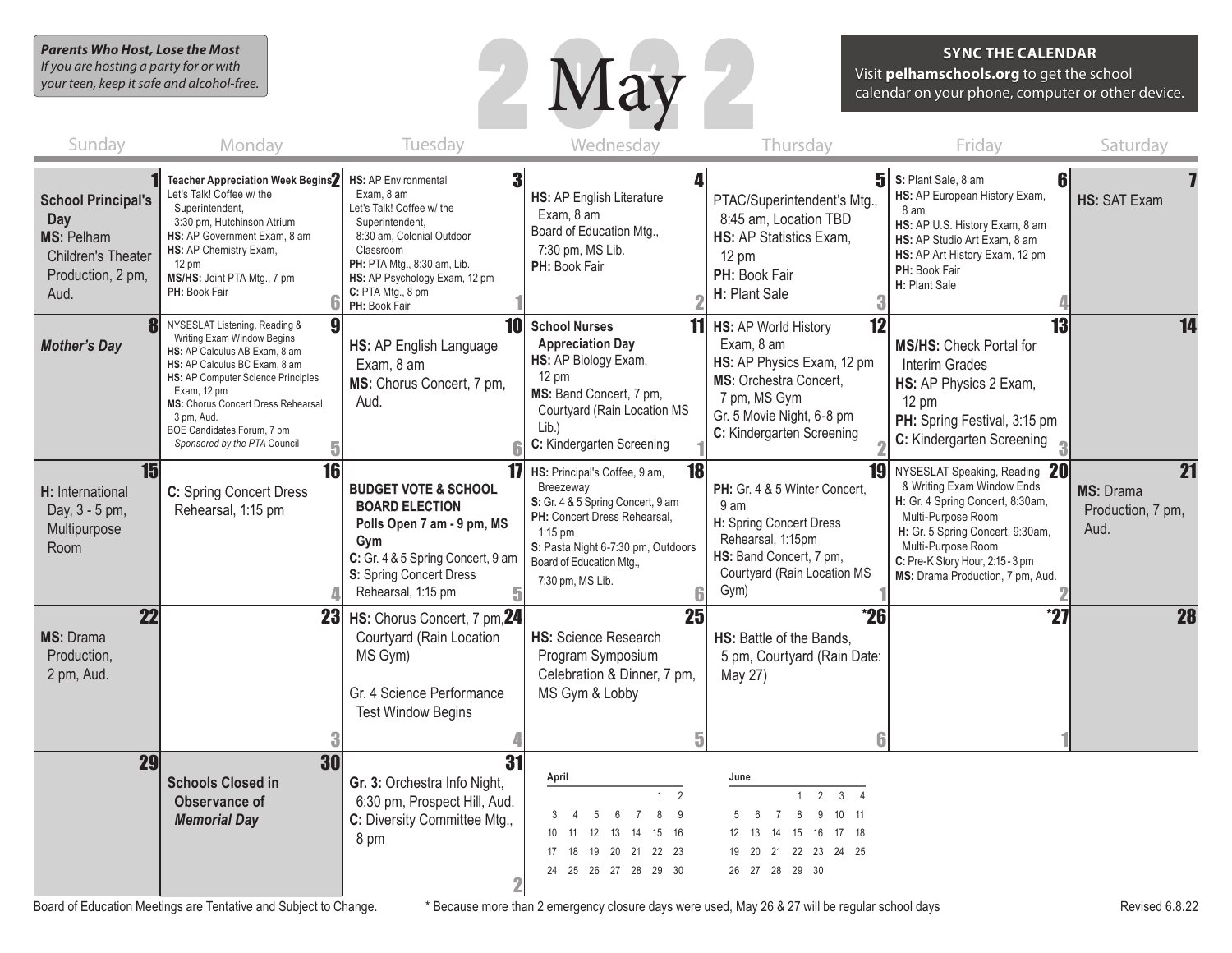*Parents Who Host, Lose the Most If you are hosting a party for or with your teen, keep it safe and alcohol-free.*



#### **SYNC THE CALENDAR**

Visit **pelhamschools.org** to get the school calendar on your phone, computer or other device.

| Sunday                                                                                                   | Monday                                                                                                                                                                                                                                                                                                     | Tuesday                                                                                                                                                                                                                                        | Wednesday                                                                                                                                                                                                                             | Thursday                                                                                                                                                                                          | Friday                                                                                                                                                                                                                                                  | Saturday                                                  |
|----------------------------------------------------------------------------------------------------------|------------------------------------------------------------------------------------------------------------------------------------------------------------------------------------------------------------------------------------------------------------------------------------------------------------|------------------------------------------------------------------------------------------------------------------------------------------------------------------------------------------------------------------------------------------------|---------------------------------------------------------------------------------------------------------------------------------------------------------------------------------------------------------------------------------------|---------------------------------------------------------------------------------------------------------------------------------------------------------------------------------------------------|---------------------------------------------------------------------------------------------------------------------------------------------------------------------------------------------------------------------------------------------------------|-----------------------------------------------------------|
| <b>School Principal's</b><br>Day<br><b>MS: Pelham</b><br>Children's Theater<br>Production, 2 pm,<br>Aud. | <b>Teacher Appreciation Week Begins2</b><br>Let's Talk! Coffee w/ the<br>Superintendent,<br>3:30 pm, Hutchinson Atrium<br>HS: AP Government Exam, 8 am<br>HS: AP Chemistry Exam,<br>$12 \text{ pm}$<br>MS/HS: Joint PTA Mtg., 7 pm<br>PH: Book Fair                                                        | 3<br><b>HS: AP Environmental</b><br>Exam. 8 am<br>Let's Talk! Coffee w/ the<br>Superintendent,<br>8:30 am, Colonial Outdoor<br>Classroom<br>PH: PTA Mtg., 8:30 am, Lib.<br>HS: AP Psychology Exam, 12 pm<br>C: PTA Mtg., 8 pm<br>PH: Book Fair | 4<br>HS: AP English Literature<br>Exam, 8 am<br>Board of Education Mtg.,<br>7:30 pm, MS Lib.<br>PH: Book Fair                                                                                                                         | PTAC/Superintendent's Mtg.,<br>8:45 am, Location TBD<br>HS: AP Statistics Exam,<br>12 pm<br>PH: Book Fair<br>H: Plant Sale<br>3                                                                   | $5$ S: Plant Sale, 8 am<br>6<br>HS: AP European History Exam,<br>8 am<br>HS: AP U.S. History Exam, 8 am<br>HS: AP Studio Art Exam, 8 am<br>HS: AP Art History Exam, 12 pm<br>PH: Book Fair<br>H: Plant Sale                                             | HS: SAT Exam                                              |
| <b>Mother's Day</b>                                                                                      | NYSESLAT Listening, Reading &<br>Writing Exam Window Begins<br>HS: AP Calculus AB Exam, 8 am<br>HS: AP Calculus BC Exam, 8 am<br>HS: AP Computer Science Principles<br>Exam, 12 pm<br>MS: Chorus Concert Dress Rehearsal,<br>3 pm, Aud.<br>BOE Candidates Forum, 7 pm<br>Sponsored by the PTA Council<br>5 | 10 <sup>1</sup><br>HS: AP English Language<br>Exam, 8 am<br>MS: Chorus Concert, 7 pm,<br>Aud.                                                                                                                                                  | <b>School Nurses</b><br><b>Appreciation Day</b><br>HS: AP Biology Exam,<br>12 pm<br>MS: Band Concert, 7 pm,<br>Courtyard (Rain Location MS<br>Lib.)<br>C: Kindergarten Screening                                                      | $\overline{12}$<br><b>11</b> HS: AP World History<br>Exam, 8 am<br>HS: AP Physics Exam, 12 pm<br>MS: Orchestra Concert.<br>7 pm, MS Gym<br>Gr. 5 Movie Night, 6-8 pm<br>C: Kindergarten Screening | 13<br><b>MS/HS: Check Portal for</b><br>Interim Grades<br>HS: AP Physics 2 Exam,<br>$12 \text{ pm}$<br>PH: Spring Festival, 3:15 pm<br>C: Kindergarten Screening                                                                                        | 14                                                        |
| 15<br>H: International<br>Day, 3 - 5 pm,<br>Multipurpose<br>Room                                         | 16<br>C: Spring Concert Dress<br>Rehearsal, 1:15 pm                                                                                                                                                                                                                                                        | 17<br><b>BUDGET VOTE &amp; SCHOOL</b><br><b>BOARD ELECTION</b><br>Polls Open 7 am - 9 pm, MS<br>Gym<br>C: Gr. 4 & 5 Spring Concert, 9 am<br>S: Spring Concert Dress<br>Rehearsal, 1:15 pm                                                      | 18 <sup>l</sup><br>HS: Principal's Coffee, 9 am,<br>Breezeway<br>S: Gr. 4 & 5 Spring Concert, 9 am<br>PH: Concert Dress Rehearsal.<br>$1:15$ pm<br>S: Pasta Night 6-7:30 pm, Outdoors<br>Board of Education Mtg.,<br>7:30 pm, MS Lib. | 19<br>PH: Gr. 4 & 5 Winter Concert,<br>9 am<br>H: Spring Concert Dress<br>Rehearsal, 1:15pm<br>HS: Band Concert, 7 pm,<br>Courtyard (Rain Location MS<br>Gym)                                     | NYSESLAT Speaking, Reading 20<br>& Writing Exam Window Ends<br>H: Gr. 4 Spring Concert, 8:30am,<br>Multi-Purpose Room<br>H: Gr. 5 Spring Concert, 9:30am,<br>Multi-Purpose Room<br>C: Pre-K Story Hour, 2:15 - 3 pm<br>MS: Drama Production, 7 pm, Aud. | $\overline{21}$<br>MS: Drama<br>Production, 7 pm,<br>Aud. |
| $\overline{22}$<br>MS: Drama<br>Production,<br>2 pm, Aud.                                                | 23                                                                                                                                                                                                                                                                                                         | HS: Chorus Concert, 7 pm, 24<br>Courtyard (Rain Location<br>MS Gym)<br>Gr. 4 Science Performance<br><b>Test Window Begins</b>                                                                                                                  | 25<br><b>HS: Science Research</b><br>Program Symposium<br>Celebration & Dinner, 7 pm,<br>MS Gym & Lobby                                                                                                                               | $^{\ast}26$<br>HS: Battle of the Bands,<br>5 pm, Courtyard (Rain Date:<br>May 27)                                                                                                                 | $^{\ast}27$                                                                                                                                                                                                                                             | <b>28</b>                                                 |
| 29                                                                                                       | 30<br><b>Schools Closed in</b><br>Observance of<br><b>Memorial Day</b>                                                                                                                                                                                                                                     | 31<br>Gr. 3: Orchestra Info Night,<br>6:30 pm, Prospect Hill, Aud.<br>C: Diversity Committee Mtg.,<br>8 pm                                                                                                                                     | April<br>2<br>8<br>9<br>.5<br>. 6<br>$\overline{7}$<br>12 13<br>10<br>14 15<br>- 16<br>- 11<br>17  18  19  20  21  22  23<br>24  25  26  27  28  29  30                                                                               | June<br>$\overline{2}$<br>3 <sub>4</sub><br>10 11<br>8<br>9<br>- 6<br>$\overline{7}$<br>14  15  16  17  18<br>- 13<br>19 20 21 22 23 24 25<br>26 27 28 29 30                                      |                                                                                                                                                                                                                                                         |                                                           |

Board of Education Meetings are Tentative and Subject to Change. \* Because more than 2 emergency closure days were used, May 26 & 27 will be regular school days expression Meetings are Tentative and Subject to Change. \* Be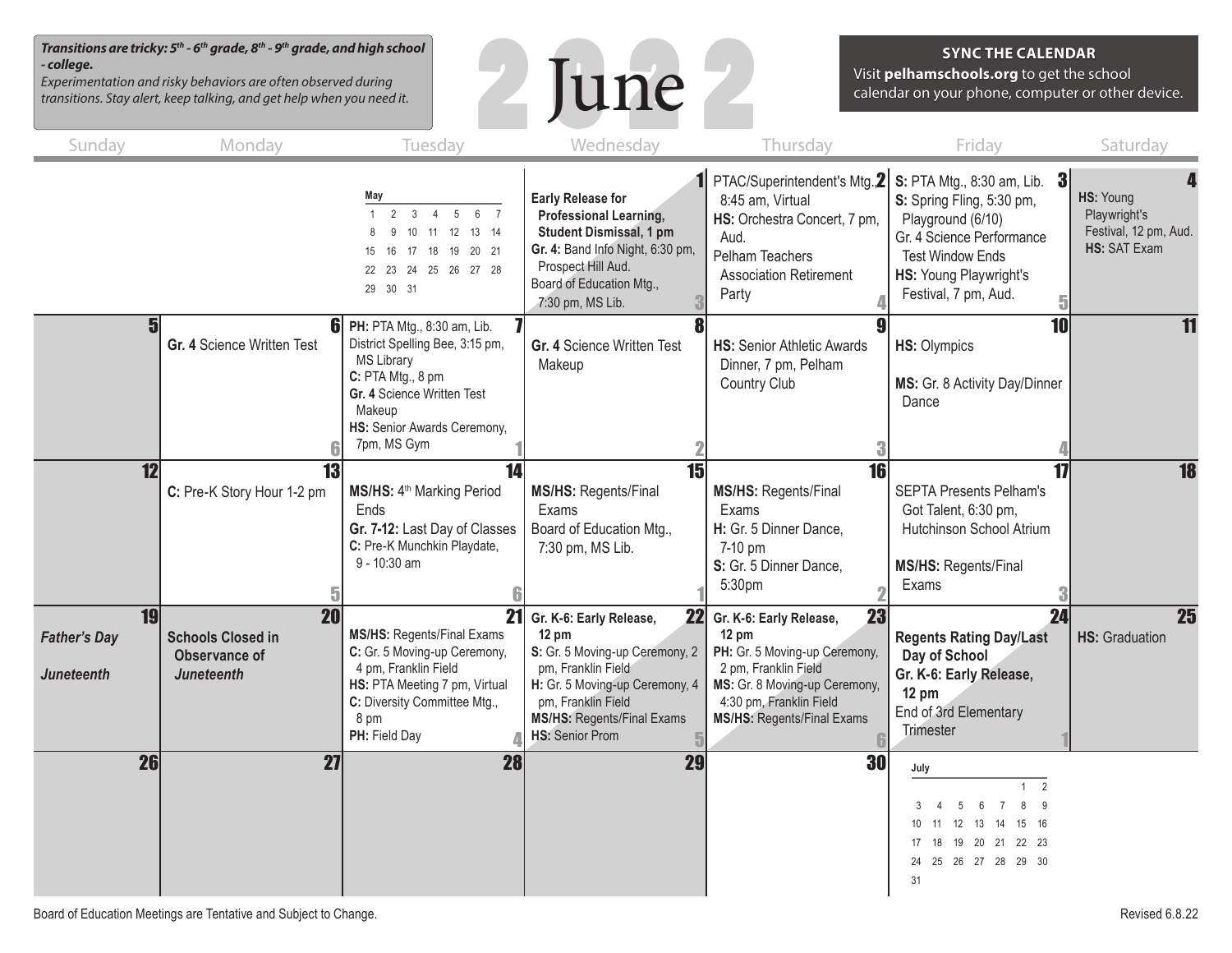*Transitions are tricky: 5th - 6th grade, 8th - 9th grade, and high school - college.*

*Experimentation and risky behaviors are often observed during transitions. Stay alert, keep talking, and get help when you need it.*



## **SYNC THE CALENDAR**

Visit **pelhamschools.org** to get the school calendar on your phone, computer or other device.

| Sunday                                         | Monday                                                                                   | Tuesday                                                                                                                                                                                        | Wednesday                                                                                                                                                                                                                       | Thursday                                                                                                                                                                                                   | Friday                                                                                                                                                                                            | Saturday                                                           |
|------------------------------------------------|------------------------------------------------------------------------------------------|------------------------------------------------------------------------------------------------------------------------------------------------------------------------------------------------|---------------------------------------------------------------------------------------------------------------------------------------------------------------------------------------------------------------------------------|------------------------------------------------------------------------------------------------------------------------------------------------------------------------------------------------------------|---------------------------------------------------------------------------------------------------------------------------------------------------------------------------------------------------|--------------------------------------------------------------------|
|                                                |                                                                                          | May<br>2<br>5<br>6 7<br>$\mathbf{1}$<br>$\mathbf{3}$<br>$\overline{4}$<br>10 11 12 13 14<br>9<br>16 17 18 19 20 21<br>15<br>22 23 24 25 26 27 28<br>29 30 31                                   | <b>Early Release for</b><br>Professional Learning,<br>Student Dismissal, 1 pm<br>Gr. 4: Band Info Night, 6:30 pm,<br>Prospect Hill Aud.<br>Board of Education Mtg.,<br>7:30 pm, MS Lib.                                         | PTAC/Superintendent's Mtg. <sup>2</sup><br>8:45 am, Virtual<br>HS: Orchestra Concert, 7 pm,<br>Aud.<br>Pelham Teachers<br><b>Association Retirement</b><br>Party                                           | <b>S:</b> PTA Mtg., 8:30 am, Lib. $3$<br>S: Spring Fling, 5:30 pm,<br>Playground (6/10)<br>Gr. 4 Science Performance<br><b>Test Window Ends</b><br>HS: Young Playwright's<br>Festival, 7 pm, Aud. | HS: Young<br>Playwright's<br>Festival, 12 pm, Aud.<br>HS: SAT Exam |
|                                                | 61<br>Gr. 4 Science Written Test                                                         | PH: PTA Mtg., 8:30 am, Lib.<br>District Spelling Bee, 3:15 pm,<br><b>MS Library</b><br>C: PTA Mtg., 8 pm<br>Gr. 4 Science Written Test<br>Makeup<br>HS: Senior Awards Ceremony,<br>7pm, MS Gym | 8<br>Gr. 4 Science Written Test<br>Makeup                                                                                                                                                                                       | <b>HS: Senior Athletic Awards</b><br>Dinner, 7 pm, Pelham<br>Country Club                                                                                                                                  | $\overline{10}$<br>HS: Olympics<br>MS: Gr. 8 Activity Day/Dinner<br>Dance                                                                                                                         | 11                                                                 |
| $\overline{12}$                                | 13<br>C: Pre-K Story Hour 1-2 pm                                                         | $\overline{14}$<br>MS/HS: 4 <sup>th</sup> Marking Period<br>Ends<br>Gr. 7-12: Last Day of Classes<br>C: Pre-K Munchkin Playdate,<br>9 - 10:30 am                                               | $\overline{15}$<br><b>MS/HS: Regents/Final</b><br>Exams<br>Board of Education Mtg.,<br>7:30 pm, MS Lib.                                                                                                                         | $\overline{16}$<br><b>MS/HS: Regents/Final</b><br>Exams<br>H: Gr. 5 Dinner Dance,<br>7-10 pm<br>S: Gr. 5 Dinner Dance,<br>5:30pm                                                                           | $\mathbf{1}$<br><b>SEPTA Presents Pelham's</b><br>Got Talent, 6:30 pm,<br>Hutchinson School Atrium<br>MS/HS: Regents/Final<br>Exams                                                               | $\overline{18}$                                                    |
| 19<br><b>Father's Day</b><br><b>Juneteenth</b> | $\overline{20}$<br><b>Schools Closed in</b><br><b>Observance of</b><br><b>Juneteenth</b> | 21<br>MS/HS: Regents/Final Exams<br>C: Gr. 5 Moving-up Ceremony,<br>4 pm, Franklin Field<br>HS: PTA Meeting 7 pm, Virtual<br>C: Diversity Committee Mtg.,<br>8 pm<br>PH: Field Day             | 22<br>Gr. K-6: Early Release,<br>$12 \text{ pm}$<br>S: Gr. 5 Moving-up Ceremony, 2<br>pm, Franklin Field<br>H: Gr. 5 Moving-up Ceremony, 4<br>pm, Franklin Field<br><b>MS/HS: Regents/Final Exams</b><br><b>HS:</b> Senior Prom | 23<br>Gr. K-6: Early Release,<br>$12 \text{ pm}$<br>PH: Gr. 5 Moving-up Ceremony,<br>2 pm, Franklin Field<br>MS: Gr. 8 Moving-up Ceremony,<br>4:30 pm, Franklin Field<br><b>MS/HS: Regents/Final Exams</b> | $\overline{24}$<br><b>Regents Rating Day/Last</b><br>Day of School<br>Gr. K-6: Early Release,<br>$12 \text{ pm}$<br>End of 3rd Elementary<br><b>Trimester</b>                                     | 25<br><b>HS:</b> Graduation                                        |
| 26                                             | 27                                                                                       | <b>28</b>                                                                                                                                                                                      | 29                                                                                                                                                                                                                              | 30                                                                                                                                                                                                         | July<br>$\overline{2}$<br>$\mathbf{1}$<br>$\overline{7}$<br>8<br>- 9<br>$\kappa$<br>.5<br>12<br>13 14 15 16<br>10<br>19 20 21 22 23<br>17<br>18<br>25  26  27  28  29  30<br>24<br>31             |                                                                    |

Board of Education Meetings are Tentative and Subject to Change. The Subset of Change and Subject to Change.